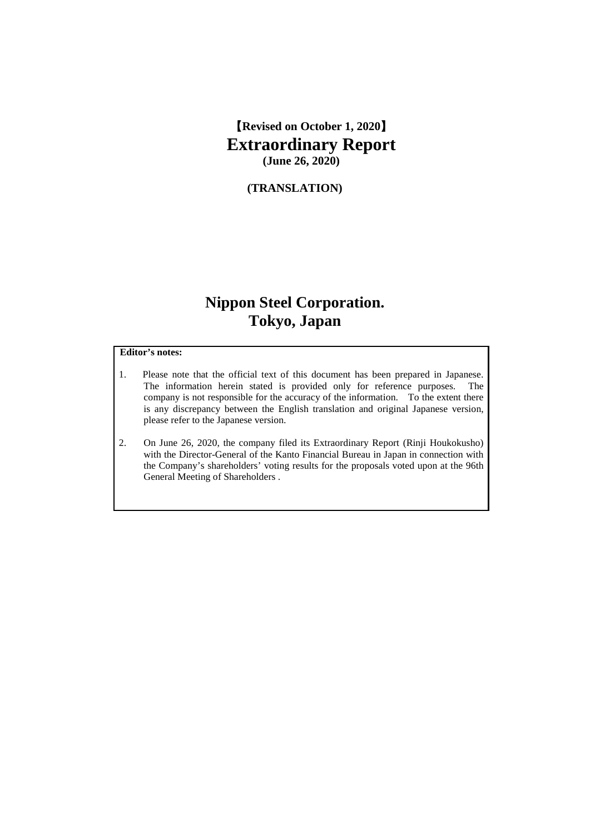【**Revised on October 1, 2020**】 **Extraordinary Report (June 26, 2020)**

**(TRANSLATION)**

# **Nippon Steel Corporation. Tokyo, Japan**

### **Editor's notes:**

- 1. Please note that the official text of this document has been prepared in Japanese. The information herein stated is provided only for reference purposes. The company is not responsible for the accuracy of the information. To the extent there is any discrepancy between the English translation and original Japanese version, please refer to the Japanese version.
- 2. On June 26, 2020, the company filed its Extraordinary Report (Rinji Houkokusho) with the Director-General of the Kanto Financial Bureau in Japan in connection with the Company's shareholders' voting results for the proposals voted upon at the 96th General Meeting of Shareholders .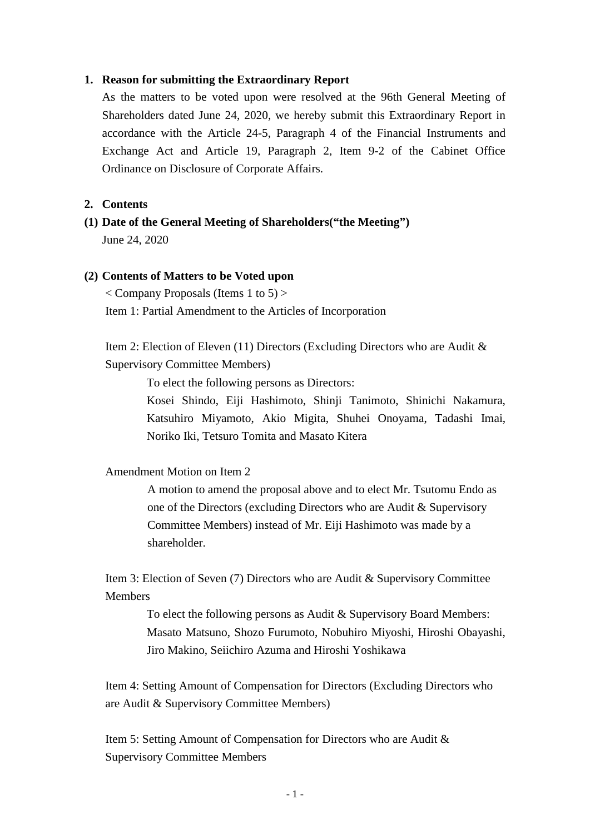### **1. Reason for submitting the Extraordinary Report**

As the matters to be voted upon were resolved at the 96th General Meeting of Shareholders dated June 24, 2020, we hereby submit this Extraordinary Report in accordance with the Article 24-5, Paragraph 4 of the Financial Instruments and Exchange Act and Article 19, Paragraph 2, Item 9-2 of the Cabinet Office Ordinance on Disclosure of Corporate Affairs.

### **2. Contents**

**(1) Date of the General Meeting of Shareholders("the Meeting")**  June 24, 2020

### **(2) Contents of Matters to be Voted upon**

 $\langle$  Company Proposals (Items 1 to 5)  $>$ Item 1: Partial Amendment to the Articles of Incorporation

Item 2: Election of Eleven (11) Directors (Excluding Directors who are Audit & Supervisory Committee Members)

To elect the following persons as Directors:

Kosei Shindo, Eiji Hashimoto, Shinji Tanimoto, Shinichi Nakamura, Katsuhiro Miyamoto, Akio Migita, Shuhei Onoyama, Tadashi Imai, Noriko Iki, Tetsuro Tomita and Masato Kitera

Amendment Motion on Item 2

A motion to amend the proposal above and to elect Mr. Tsutomu Endo as one of the Directors (excluding Directors who are Audit & Supervisory Committee Members) instead of Mr. Eiji Hashimoto was made by a shareholder.

Item 3: Election of Seven (7) Directors who are Audit & Supervisory Committee Members

> To elect the following persons as Audit & Supervisory Board Members: Masato Matsuno, Shozo Furumoto, Nobuhiro Miyoshi, Hiroshi Obayashi, Jiro Makino, Seiichiro Azuma and Hiroshi Yoshikawa

Item 4: Setting Amount of Compensation for Directors (Excluding Directors who are Audit & Supervisory Committee Members)

Item 5: Setting Amount of Compensation for Directors who are Audit & Supervisory Committee Members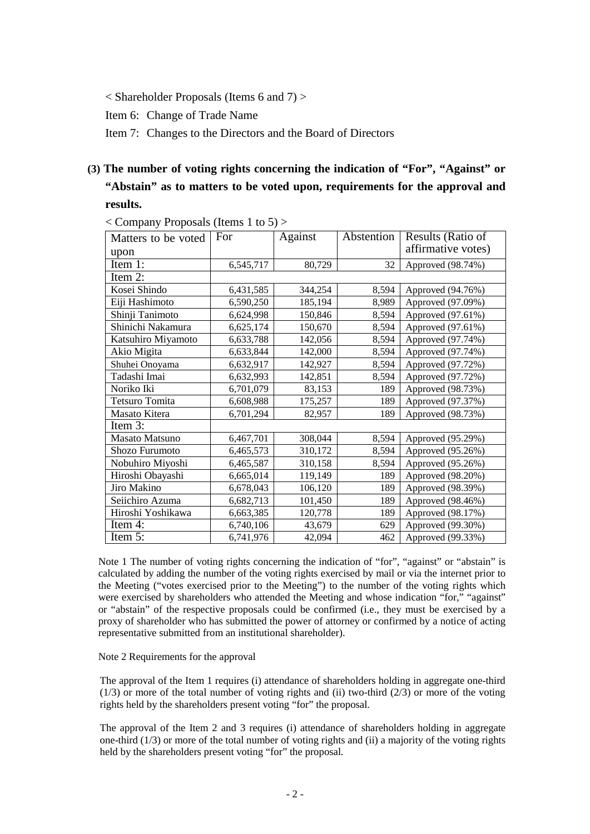< Shareholder Proposals (Items 6 and 7) >

Item 6: Change of Trade Name

Item 7: Changes to the Directors and the Board of Directors

# **(3) The number of voting rights concerning the indication of "For", "Against" or "Abstain" as to matters to be voted upon, requirements for the approval and results.**

| Matters to be voted   | For       | Against | Abstention | Results (Ratio of  |
|-----------------------|-----------|---------|------------|--------------------|
| upon                  |           |         |            | affirmative votes) |
| Item $1$ :            | 6,545,717 | 80,729  | 32         | Approved (98.74%)  |
| Item 2:               |           |         |            |                    |
| Kosei Shindo          | 6,431,585 | 344,254 | 8,594      | Approved (94.76%)  |
| Eiji Hashimoto        | 6,590,250 | 185,194 | 8,989      | Approved (97.09%)  |
| Shinji Tanimoto       | 6,624,998 | 150,846 | 8,594      | Approved (97.61%)  |
| Shinichi Nakamura     | 6,625,174 | 150,670 | 8,594      | Approved (97.61%)  |
| Katsuhiro Miyamoto    | 6,633,788 | 142,056 | 8,594      | Approved (97.74%)  |
| Akio Migita           | 6,633,844 | 142,000 | 8,594      | Approved (97.74%)  |
| Shuhei Onoyama        | 6,632,917 | 142,927 | 8,594      | Approved (97.72%)  |
| Tadashi Imai          | 6,632,993 | 142,851 | 8,594      | Approved (97.72%)  |
| Noriko Iki            | 6,701,079 | 83,153  | 189        | Approved (98.73%)  |
| <b>Tetsuro Tomita</b> | 6,608,988 | 175,257 | 189        | Approved (97.37%)  |
| Masato Kitera         | 6,701,294 | 82,957  | 189        | Approved (98.73%)  |
| Item 3:               |           |         |            |                    |
| <b>Masato Matsuno</b> | 6,467,701 | 308,044 | 8,594      | Approved (95.29%)  |
| Shozo Furumoto        | 6,465,573 | 310,172 | 8,594      | Approved (95.26%)  |
| Nobuhiro Miyoshi      | 6,465,587 | 310,158 | 8,594      | Approved (95.26%)  |
| Hiroshi Obayashi      | 6,665,014 | 119,149 | 189        | Approved (98.20%)  |
| Jiro Makino           | 6,678,043 | 106,120 | 189        | Approved (98.39%)  |
| Seiichiro Azuma       | 6,682,713 | 101,450 | 189        | Approved (98.46%)  |
| Hiroshi Yoshikawa     | 6,663,385 | 120,778 | 189        | Approved (98.17%)  |
| Item 4:               | 6,740,106 | 43,679  | 629        | Approved (99.30%)  |
| Item 5:               | 6,741,976 | 42,094  | 462        | Approved (99.33%)  |

< Company Proposals (Items 1 to 5) >

Note 1 The number of voting rights concerning the indication of "for", "against" or "abstain" is calculated by adding the number of the voting rights exercised by mail or via the internet prior to the Meeting ("votes exercised prior to the Meeting") to the number of the voting rights which were exercised by shareholders who attended the Meeting and whose indication "for," "against" or "abstain" of the respective proposals could be confirmed (i.e., they must be exercised by a proxy of shareholder who has submitted the power of attorney or confirmed by a notice of acting representative submitted from an institutional shareholder).

Note 2 Requirements for the approval

The approval of the Item 1 requires (i) attendance of shareholders holding in aggregate one-third  $(1/3)$  or more of the total number of voting rights and (ii) two-third  $(2/3)$  or more of the voting rights held by the shareholders present voting "for" the proposal.

The approval of the Item 2 and 3 requires (i) attendance of shareholders holding in aggregate one-third (1/3) or more of the total number of voting rights and (ii) a majority of the voting rights held by the shareholders present voting "for" the proposal.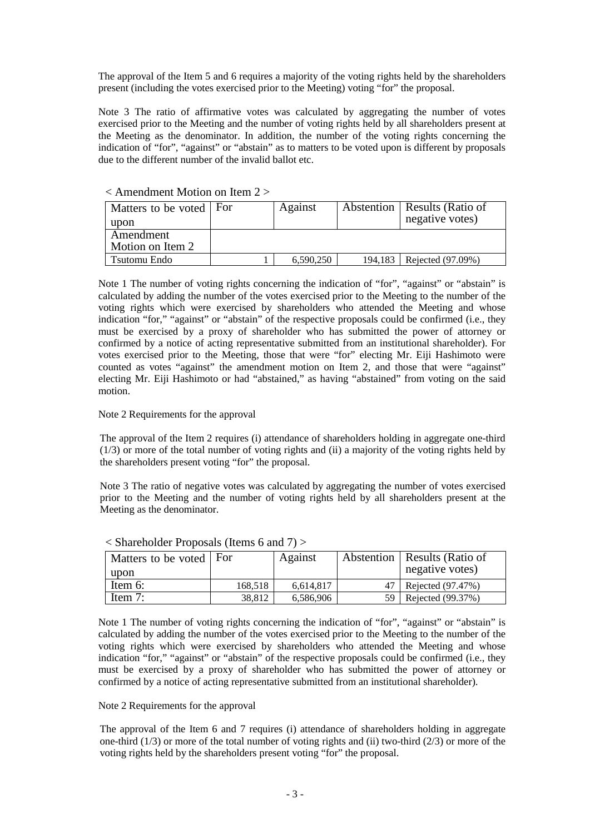The approval of the Item 5 and 6 requires a majority of the voting rights held by the shareholders present (including the votes exercised prior to the Meeting) voting "for" the proposal.

Note 3 The ratio of affirmative votes was calculated by aggregating the number of votes exercised prior to the Meeting and the number of voting rights held by all shareholders present at the Meeting as the denominator. In addition, the number of the voting rights concerning the indication of "for", "against" or "abstain" as to matters to be voted upon is different by proposals due to the different number of the invalid ballot etc.

| Matters to be voted   For | Against   |         | Abstention   Results (Ratio of |  |  |  |  |
|---------------------------|-----------|---------|--------------------------------|--|--|--|--|
|                           |           |         | negative votes)                |  |  |  |  |
|                           |           |         |                                |  |  |  |  |
|                           |           |         |                                |  |  |  |  |
|                           | 6,590,250 | 194.183 | Rejected (97.09%)              |  |  |  |  |
|                           |           |         |                                |  |  |  |  |

### $\epsilon$  Amendment Motion on Item  $2 \epsilon$

Note 1 The number of voting rights concerning the indication of "for", "against" or "abstain" is calculated by adding the number of the votes exercised prior to the Meeting to the number of the voting rights which were exercised by shareholders who attended the Meeting and whose indication "for," "against" or "abstain" of the respective proposals could be confirmed (i.e., they must be exercised by a proxy of shareholder who has submitted the power of attorney or confirmed by a notice of acting representative submitted from an institutional shareholder). For votes exercised prior to the Meeting, those that were "for" electing Mr. Eiji Hashimoto were counted as votes "against" the amendment motion on Item 2, and those that were "against" electing Mr. Eiji Hashimoto or had "abstained," as having "abstained" from voting on the said motion.

#### Note 2 Requirements for the approval

The approval of the Item 2 requires (i) attendance of shareholders holding in aggregate one-third (1/3) or more of the total number of voting rights and (ii) a majority of the voting rights held by the shareholders present voting "for" the proposal.

Note 3 The ratio of negative votes was calculated by aggregating the number of votes exercised prior to the Meeting and the number of voting rights held by all shareholders present at the Meeting as the denominator.

| Matters to be voted   For<br>upon |         | Against   |     | Abstention   Results (Ratio of<br>negative votes) |
|-----------------------------------|---------|-----------|-----|---------------------------------------------------|
| Item 6:                           | 168.518 | 6,614,817 |     | 47   Rejected (97.47%)                            |
| Item 7:                           | 38,812  | 6,586,906 | 59. | Rejected (99.37%)                                 |

< Shareholder Proposals (Items 6 and 7) >

Note 1 The number of voting rights concerning the indication of "for", "against" or "abstain" is calculated by adding the number of the votes exercised prior to the Meeting to the number of the voting rights which were exercised by shareholders who attended the Meeting and whose indication "for," "against" or "abstain" of the respective proposals could be confirmed (i.e., they must be exercised by a proxy of shareholder who has submitted the power of attorney or confirmed by a notice of acting representative submitted from an institutional shareholder).

#### Note 2 Requirements for the approval

The approval of the Item 6 and 7 requires (i) attendance of shareholders holding in aggregate one-third (1/3) or more of the total number of voting rights and (ii) two-third (2/3) or more of the voting rights held by the shareholders present voting "for" the proposal.